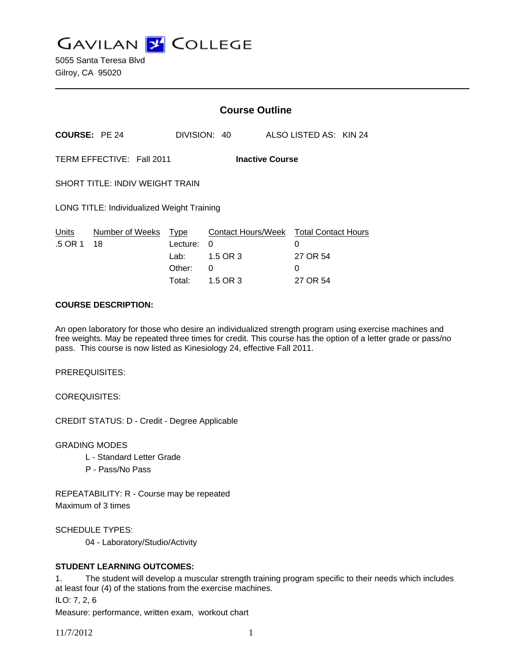**GAVILAN Z COLLEGE** 

|                                                     |                            | <b>Course Outline</b>                |                                                                          |  |                                |  |
|-----------------------------------------------------|----------------------------|--------------------------------------|--------------------------------------------------------------------------|--|--------------------------------|--|
| <b>COURSE: PE 24</b>                                |                            |                                      | DIVISION: 40                                                             |  | ALSO LISTED AS: KIN 24         |  |
| TERM EFFECTIVE: Fall 2011<br><b>Inactive Course</b> |                            |                                      |                                                                          |  |                                |  |
| <b>SHORT TITLE: INDIV WEIGHT TRAIN</b>              |                            |                                      |                                                                          |  |                                |  |
| LONG TITLE: Individualized Weight Training          |                            |                                      |                                                                          |  |                                |  |
| Units<br>.5 OR 1                                    | Number of Weeks Type<br>18 | Lecture:<br>Lab:<br>Other:<br>Total: | Contact Hours/Week Total Contact Hours<br>0<br>1.5 OR 3<br>0<br>1.5 OR 3 |  | 0<br>27 OR 54<br>0<br>27 OR 54 |  |

### **COURSE DESCRIPTION:**

An open laboratory for those who desire an individualized strength program using exercise machines and free weights. May be repeated three times for credit. This course has the option of a letter grade or pass/no pass. This course is now listed as Kinesiology 24, effective Fall 2011.

PREREQUISITES:

COREQUISITES:

CREDIT STATUS: D - Credit - Degree Applicable

GRADING MODES

- L Standard Letter Grade
- P Pass/No Pass

REPEATABILITY: R - Course may be repeated Maximum of 3 times

SCHEDULE TYPES:

04 - Laboratory/Studio/Activity

## **STUDENT LEARNING OUTCOMES:**

1. The student will develop a muscular strength training program specific to their needs which includes at least four (4) of the stations from the exercise machines.

ILO: 7, 2, 6

Measure: performance, written exam, workout chart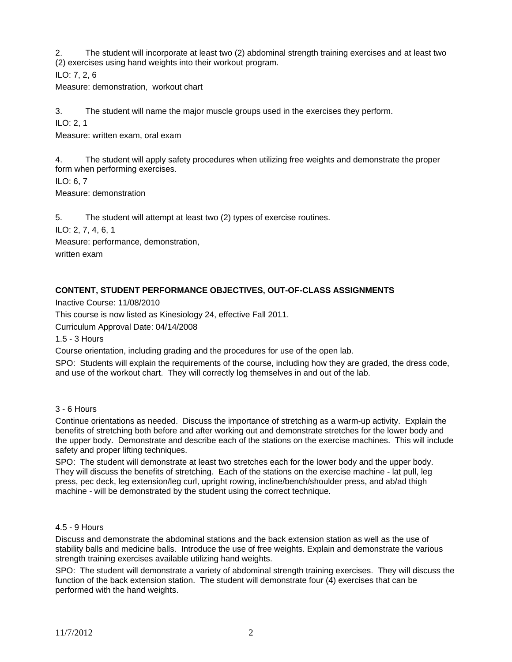2. The student will incorporate at least two (2) abdominal strength training exercises and at least two (2) exercises using hand weights into their workout program.

ILO: 7, 2, 6

Measure: demonstration, workout chart

3. The student will name the major muscle groups used in the exercises they perform.

ILO: 2, 1

Measure: written exam, oral exam

4. The student will apply safety procedures when utilizing free weights and demonstrate the proper form when performing exercises.

ILO: 6, 7

Measure: demonstration

5. The student will attempt at least two (2) types of exercise routines.

ILO: 2, 7, 4, 6, 1

Measure: performance, demonstration, written exam

# **CONTENT, STUDENT PERFORMANCE OBJECTIVES, OUT-OF-CLASS ASSIGNMENTS**

Inactive Course: 11/08/2010

This course is now listed as Kinesiology 24, effective Fall 2011.

Curriculum Approval Date: 04/14/2008

1.5 - 3 Hours

Course orientation, including grading and the procedures for use of the open lab.

SPO: Students will explain the requirements of the course, including how they are graded, the dress code, and use of the workout chart. They will correctly log themselves in and out of the lab.

## 3 - 6 Hours

Continue orientations as needed. Discuss the importance of stretching as a warm-up activity. Explain the benefits of stretching both before and after working out and demonstrate stretches for the lower body and the upper body. Demonstrate and describe each of the stations on the exercise machines. This will include safety and proper lifting techniques.

SPO: The student will demonstrate at least two stretches each for the lower body and the upper body. They will discuss the benefits of stretching. Each of the stations on the exercise machine - lat pull, leg press, pec deck, leg extension/leg curl, upright rowing, incline/bench/shoulder press, and ab/ad thigh machine - will be demonstrated by the student using the correct technique.

#### 4.5 - 9 Hours

Discuss and demonstrate the abdominal stations and the back extension station as well as the use of stability balls and medicine balls. Introduce the use of free weights. Explain and demonstrate the various strength training exercises available utilizing hand weights.

SPO: The student will demonstrate a variety of abdominal strength training exercises. They will discuss the function of the back extension station. The student will demonstrate four (4) exercises that can be performed with the hand weights.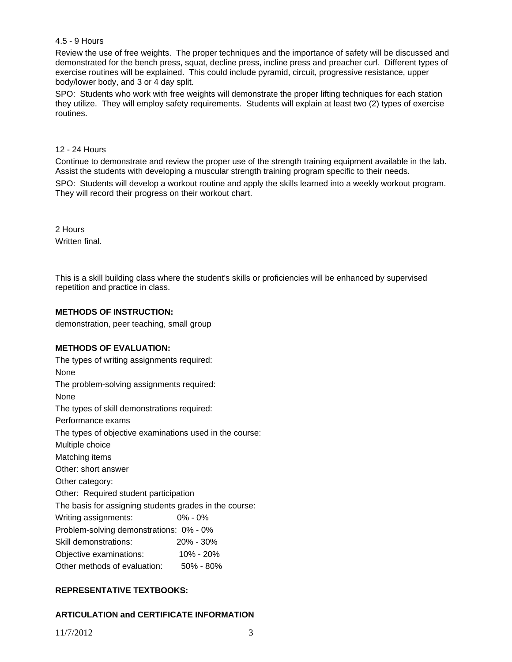### 4.5 - 9 Hours

Review the use of free weights. The proper techniques and the importance of safety will be discussed and demonstrated for the bench press, squat, decline press, incline press and preacher curl. Different types of exercise routines will be explained. This could include pyramid, circuit, progressive resistance, upper body/lower body, and 3 or 4 day split.

SPO: Students who work with free weights will demonstrate the proper lifting techniques for each station they utilize. They will employ safety requirements. Students will explain at least two (2) types of exercise routines.

### 12 - 24 Hours

Continue to demonstrate and review the proper use of the strength training equipment available in the lab. Assist the students with developing a muscular strength training program specific to their needs.

SPO: Students will develop a workout routine and apply the skills learned into a weekly workout program. They will record their progress on their workout chart.

2 Hours Written final.

This is a skill building class where the student's skills or proficiencies will be enhanced by supervised repetition and practice in class.

### **METHODS OF INSTRUCTION:**

demonstration, peer teaching, small group

#### **METHODS OF EVALUATION:**

The types of writing assignments required: None The problem-solving assignments required: None The types of skill demonstrations required: Performance exams The types of objective examinations used in the course: Multiple choice Matching items Other: short answer Other category: Other: Required student participation The basis for assigning students grades in the course: Writing assignments: 0% - 0% Problem-solving demonstrations: 0% - 0% Skill demonstrations: 20% - 30% Objective examinations: 10% - 20% Other methods of evaluation: 50% - 80%

## **REPRESENTATIVE TEXTBOOKS:**

## **ARTICULATION and CERTIFICATE INFORMATION**